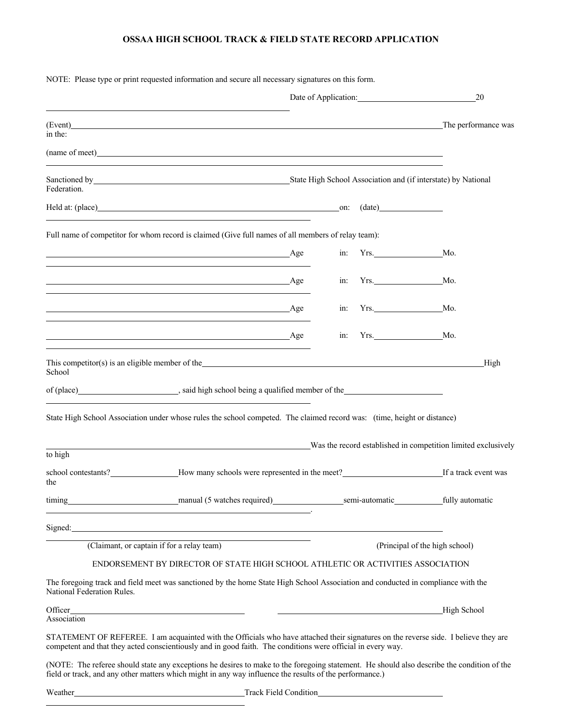## **OSSAA HIGH SCHOOL TRACK & FIELD STATE RECORD APPLICATION**

|                            | NOTE: Please type or print requested information and secure all necessary signatures on this form.                                                                                                                                                 |  |                 |                                |
|----------------------------|----------------------------------------------------------------------------------------------------------------------------------------------------------------------------------------------------------------------------------------------------|--|-----------------|--------------------------------|
|                            |                                                                                                                                                                                                                                                    |  |                 | 20                             |
| in the:                    | (Event) The performance was not a set of the set of the set of the set of the set of the set of the set of the set of the set of the set of the set of the set of the set of the set of the set of the set of the set of the s                     |  |                 |                                |
|                            | (name of meet) and the contract of meet) and the contract of meeting and the contract of meeting and the contract of meeting $\sim$                                                                                                                |  |                 |                                |
| Federation.                | State High School Association and (if interstate) by National                                                                                                                                                                                      |  |                 |                                |
|                            | Held at: (place) (date) (at a set of a set of a set of a set of a set of a set of a set of a set of a set of a set of a set of a set of a set of a set of a set of a set of a set of a set of a set of a set of a set of a set                     |  |                 |                                |
|                            | Full name of competitor for whom record is claimed (Give full names of all members of relay team):                                                                                                                                                 |  |                 |                                |
|                            | <u>Age</u>                                                                                                                                                                                                                                         |  |                 |                                |
|                            | Age                                                                                                                                                                                                                                                |  | Yrs. Mo.<br>in: |                                |
|                            | <u>Age</u>                                                                                                                                                                                                                                         |  | in: Yrs. Mo.    |                                |
|                            | $\overline{A}$ ge                                                                                                                                                                                                                                  |  | in: Yrs.        | Mo.                            |
| School                     | This competitor(s) is an eligible member of the service and the service of the service of the service of the service of the service of the service of the service of the service of the service of the service of the service                      |  |                 | High                           |
|                            |                                                                                                                                                                                                                                                    |  |                 |                                |
|                            | State High School Association under whose rules the school competed. The claimed record was: (time, height or distance)                                                                                                                            |  |                 |                                |
| to high                    | Was the record established in competition limited exclusively                                                                                                                                                                                      |  |                 |                                |
| the                        |                                                                                                                                                                                                                                                    |  |                 |                                |
|                            | timing manual (5 watches required) semi-automatic fully automatic fully automatic<br><u> 1989 - Johann Stoff, Amerikaansk politiker (</u>                                                                                                          |  |                 |                                |
|                            | Signed: <u>Signed:</u> <b>Signed: Signed: Signed: Signed: Signed: Signed: Signed: Signed: Signed: Signed: Signed: Signed: Signed: Signed: Signed: Signed: Signed: Signed: Signed: Signed: Sig</b>                                                  |  |                 |                                |
|                            | (Claimant, or captain if for a relay team)                                                                                                                                                                                                         |  |                 | (Principal of the high school) |
|                            | ENDORSEMENT BY DIRECTOR OF STATE HIGH SCHOOL ATHLETIC OR ACTIVITIES ASSOCIATION                                                                                                                                                                    |  |                 |                                |
| National Federation Rules. | The foregoing track and field meet was sanctioned by the home State High School Association and conducted in compliance with the                                                                                                                   |  |                 |                                |
| Association                | Officer <b>contract the contract of the contract of the contract of the contract of the contract of the contract of the contract of the contract of the contract of the contract of the contract of the contract of the contract</b>               |  |                 | High School                    |
|                            | STATEMENT OF REFEREE. I am acquainted with the Officials who have attached their signatures on the reverse side. I believe they are<br>competent and that they acted conscientiously and in good faith. The conditions were official in every way. |  |                 |                                |
|                            | $\triangle$ IOTE TI $\zeta = 1.11$ $\pm \zeta = \zeta$ $\zeta = 1.11$ $\pm \zeta = 1.11$ $\zeta = 1.11$ $\pm \zeta = 1.111$ $\pm \zeta = 1.111$                                                                                                    |  |                 |                                |

(NOTE: The referee should state any exceptions he desires to make to the foregoing statement. He should also describe the condition of the field or track, and any other matters which might in any way influence the results of the performance.)